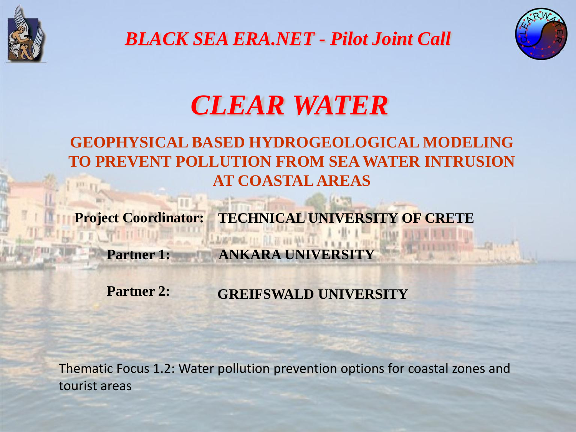

*BLACK SEA ERA.NET - Pilot Joint Call*



# *CLEAR WATER*

## **GEOPHYSICAL BASED HYDROGEOLOGICAL MODELING TO PREVENT POLLUTION FROM SEA WATER INTRUSION AT COASTAL AREAS**

**Project Coordinator: TECHNICAL UNIVERSITY OF CRETE**

**Partner 1: ANKARA UNIVERSITY** 

**Partner 2: GREIFSWALD UNIVERSITY**

LAW-REAL OIL RAIN HIS 400

Thematic Focus 1.2: Water pollution prevention options for coastal zones and tourist areas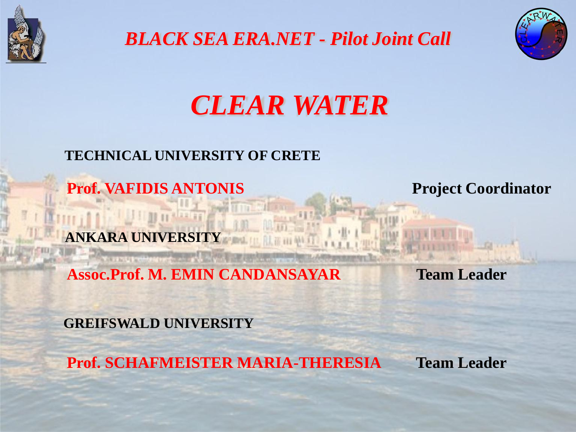

*BLACK SEA ERA.NET - Pilot Joint Call*



# *CLEAR WATER*

#### **TECHNICAL UNIVERSITY OF CRETE**

**Prof. VAFIDIS ANTONIS Project Coordinator** 

**ANKARA UNIVERSITY** 

**Assoc.Prof. M. EMIN CANDANSAYAR Team Leader**

**GREIFSWALD UNIVERSITY**

**Prof. SCHAFMEISTER MARIA-THERESIA Team Leader**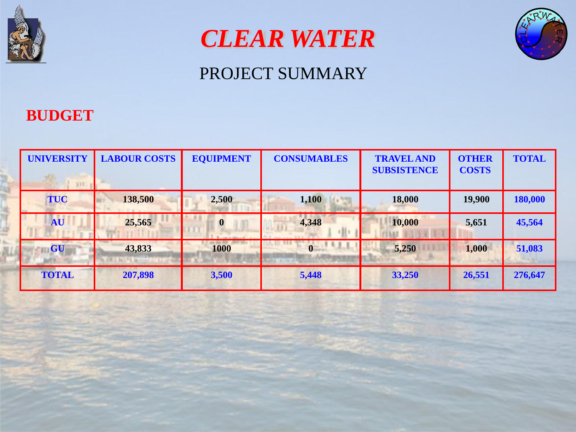





#### **BUDGET**

| <b>UNIVERSITY</b><br>133 p | <b>LABOUR COSTS</b> | <b>EQUIPMENT</b> | <b>CONSUMABLES</b> | <b>TRAVEL AND</b><br><b>SUBSISTENCE</b> | <b>OTHER</b><br><b>COSTS</b> | <b>TOTAL</b> |
|----------------------------|---------------------|------------------|--------------------|-----------------------------------------|------------------------------|--------------|
| <b>TUC</b>                 | 138,500             | 2,500            | 1,100              | 18,000                                  | 19,900                       | 180,000      |
| <b>AU</b>                  | 25,565              | $\boldsymbol{0}$ | 4,348              | 10,000                                  | 5,651                        | 45,564       |
| <b>GU</b>                  | 43,833              | 1000             |                    | 5,250                                   | 1,000                        | 51,083       |
| <b>TOTAL</b>               | 207,898             | 3,500            | 5,448              | 33,250                                  | 26,551                       | 276,647      |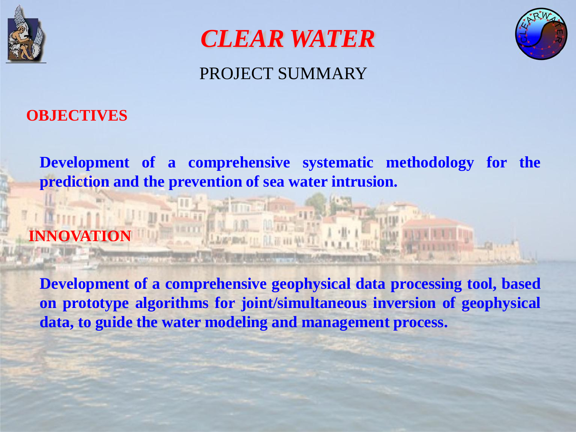





### **OBJECTIVES**

**Development of a comprehensive systematic methodology for the prediction and the prevention of sea water intrusion.**

# **INNOVATION**

**Development of a comprehensive geophysical data processing tool, based on prototype algorithms for joint/simultaneous inversion of geophysical data, to guide the water modeling and management process.**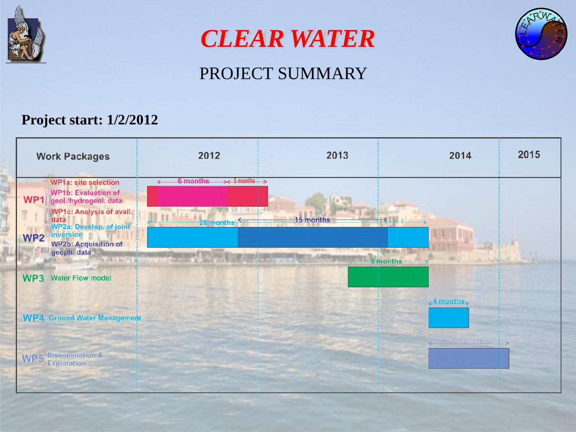

*CLEAR WATER*



# PROJECT SUMMARY

#### **Project start: 1/2/2012**

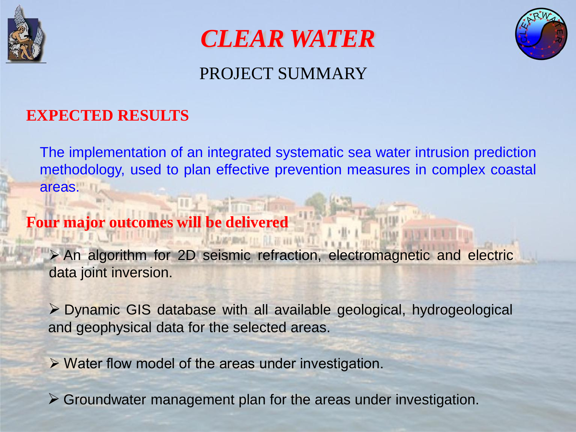





### **EXPECTED RESULTS**

The implementation of an integrated systematic sea water intrusion prediction methodology, used to plan effective prevention measures in complex coastal areas.

## **Four major outcomes will be delivered**

An algorithm for 2D seismic refraction, electromagnetic and electric data joint inversion.

Dynamic GIS database with all available geological, hydrogeological and geophysical data for the selected areas.

 $\triangleright$  Water flow model of the areas under investigation.

Groundwater management plan for the areas under investigation.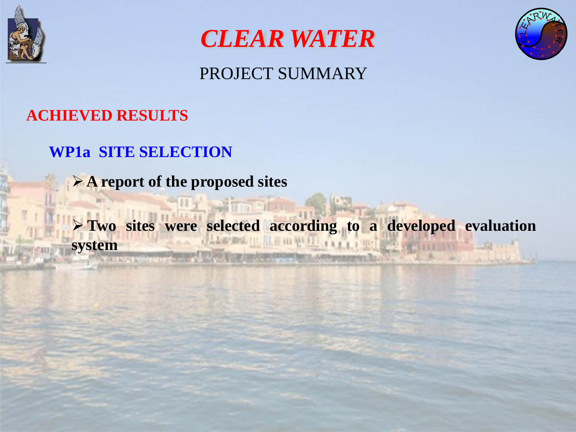





## **ACHIEVED RESULTS**

## **WP1a SITE SELECTION**

 **A report of the proposed sites**

 **Two sites were selected according to a developed evaluation system** or enter the state of the comment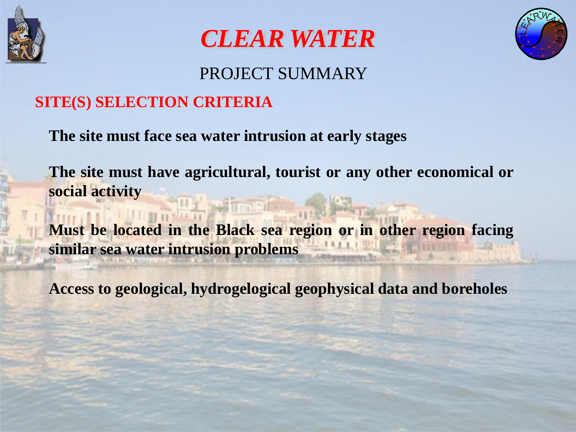





#### **SITE(S) SELECTION CRITERIA**

**The site must face sea water intrusion at early stages** 

**The site must have agricultural, tourist or any other economical or social activity** 

**Must be located in the Black sea region or in other region facing similar sea water intrusion problems**

**Access to geological, hydrogelogical geophysical data and boreholes**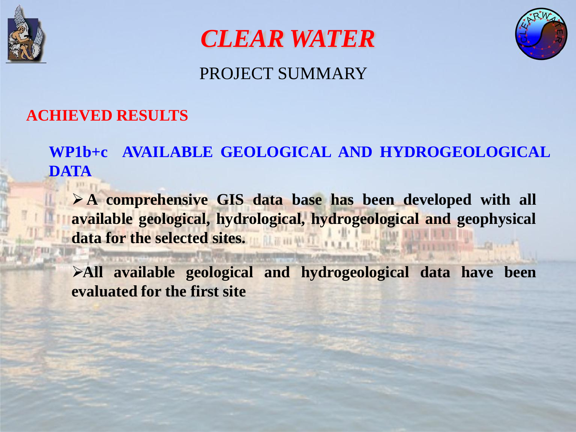





### **ACHIEVED RESULTS**

**WP1b+c AVAILABLE GEOLOGICAL AND HYDROGEOLOGICAL DATA**

 **A comprehensive GIS data base has been developed with all available geological, hydrological, hydrogeological and geophysical data for the selected sites.**

**All available geological and hydrogeological data have been evaluated for the first site**